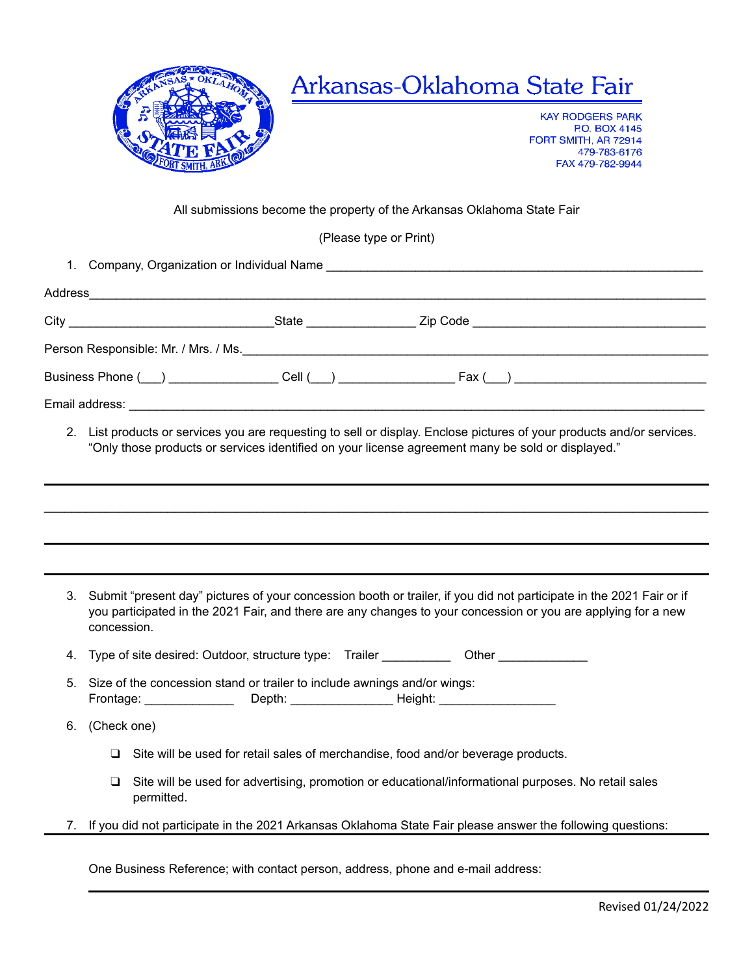

## Arkansas-Oklahoma State Fair

**KAY RODGERS PARK P.O. BOX 4145** FORT SMITH, AR 72914 479-783-6176 FAX 479-782-9944

## All submissions become the property of the Arkansas Oklahoma State Fair

(Please type or Print)

1. Company, Organization or Individual Name \_\_\_\_\_\_\_\_\_\_\_\_\_\_\_\_\_\_\_\_\_\_\_\_\_\_\_\_\_\_\_\_\_\_\_\_\_\_\_\_\_\_\_\_\_\_\_\_\_\_\_\_\_\_\_

| Person Responsible: Mr. / Mrs. / Ms. |                                                                                                                            |
|--------------------------------------|----------------------------------------------------------------------------------------------------------------------------|
|                                      |                                                                                                                            |
|                                      |                                                                                                                            |
|                                      | 0 . I bi ang dugiya ng gandaga ugu ng mga magbalagiya da gli ang langsu. Englaga nigituma afugung mandugiya ng digagandaga |

2. List products or services you are requesting to sell or display. Enclose pictures of your products and/or services. "Only those products or services identified on your license agreement many be sold or displayed."

| 3. | Submit "present day" pictures of your concession booth or trailer, if you did not participate in the 2021 Fair or if<br>you participated in the 2021 Fair, and there are any changes to your concession or you are applying for a new<br>concession. |  |  |
|----|------------------------------------------------------------------------------------------------------------------------------------------------------------------------------------------------------------------------------------------------------|--|--|
| 4. | Type of site desired: Outdoor, structure type: Trailer                                                                                                                                                                                               |  |  |
| 5. | Size of the concession stand or trailer to include awnings and/or wings:<br>Frontage: _________________ Depth: _________________________Height: _____________                                                                                        |  |  |
| 6. | (Check one)                                                                                                                                                                                                                                          |  |  |
|    | Site will be used for retail sales of merchandise, food and/or beverage products.<br>□                                                                                                                                                               |  |  |
|    | Site will be used for advertising, promotion or educational/informational purposes. No retail sales<br>⊔<br>permitted.                                                                                                                               |  |  |
| 7. | If you did not participate in the 2021 Arkansas Oklahoma State Fair please answer the following questions:                                                                                                                                           |  |  |

One Business Reference; with contact person, address, phone and e-mail address: